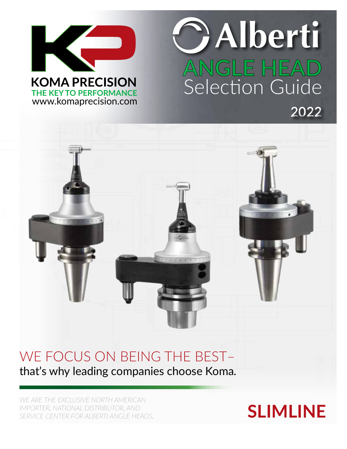

**Alberti ANGLE HEAD** Selection Guide **2022**

### WE FOCUS ON BEING THE BEST– that's why leading companies choose Koma.

*WE ARE THE EXCLUSIVE NORTH AMERICAN IMPORTER, NATIONAL DISTRIBUTOR, AND SERVICE CENTER FOR ALBERTI ANGLE HEADS.*

## **SLIMLINE**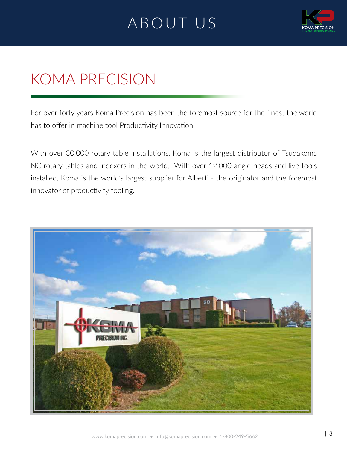## ABOUT US **THE ABOUT US**



## KOMA PRECISION

For over forty years Koma Precision has been the foremost source for the finest the world has to offer in machine tool Productivity Innovation.

With over 30,000 rotary table installations, Koma is the largest distributor of Tsudakoma NC rotary tables and indexers in the world. With over 12,000 angle heads and live tools installed, Koma is the world's largest supplier for Alberti - the originator and the foremost innovator of productivity tooling.

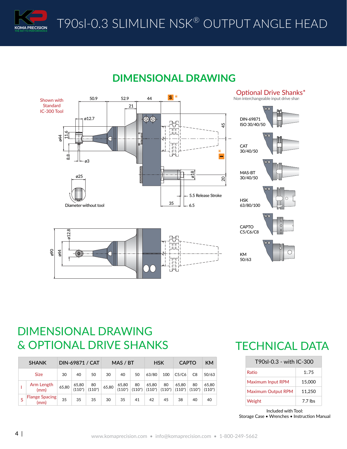

## T90sl-0.3 SLIMLINE NSK® OUTPUT ANGLE HEAD

#### **DIMENSIONAL DRAWING**



#### DIMENSIONAL DRAWING & OPTIONAL DRIVE SHANKS

| <b>SHANK</b> |                               | DIN-69871 / CAT |                    | MAS / BT        |       | <b>HSK</b>         |                 | <b>CAPTO</b> |                           | KM                 |                 |                    |
|--------------|-------------------------------|-----------------|--------------------|-----------------|-------|--------------------|-----------------|--------------|---------------------------|--------------------|-----------------|--------------------|
|              | <b>Size</b>                   | 30              | 40                 | 50              | 30    | 40                 | 50              | 63/80        | 100                       | C5/C6              | C <sub>8</sub>  | 50/63              |
|              | Arm Length<br>(mm)            | 65,80           | 65,80<br>$(110^*)$ | 80<br>$(110^*)$ | 65,80 | 65,80<br>$(110^*)$ | 80<br>$(110^*)$ | 65,80        | 80<br>$(110^*)$ $(110^*)$ | 65,80<br>$(110^*)$ | 80<br>$(110^*)$ | 65,80<br>$(110^*)$ |
|              | <b>Flange Spacing</b><br>(mm) | 35              | 35                 | 35              | 30    | 35                 | 41              | 42           | 45                        | 38                 | 40              | 40                 |

#### TECHNICAL DATA

| T90sl-0.3 - with IC-300  |         |  |  |
|--------------------------|---------|--|--|
| Ratio                    | 1:75    |  |  |
| <b>Maximum Input RPM</b> | 15,000  |  |  |
| Maximum Output RPM       | 11.250  |  |  |
| Weight                   | 7.7 lbs |  |  |

Included with Tool: Storage Case • Wrenches • Instruction Manual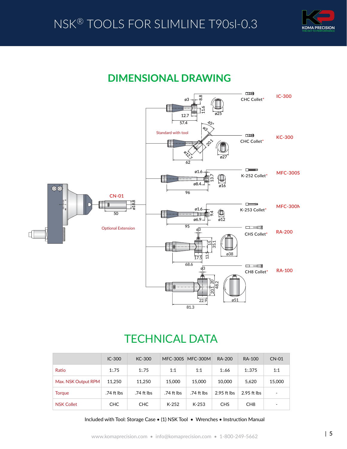



#### **DIMENSIONAL DRAWING**



#### TECHNICAL DATA

|                     | $IC-300$   | KC-300     |            | MFC-300S MFC-300M | RA-200                 | RA-100          | <b>CN-01</b>             |
|---------------------|------------|------------|------------|-------------------|------------------------|-----------------|--------------------------|
| Ratio               | 1:75       | 1:75       | 1:1        | 1:1               | 1:66                   | 1:375           | 1:1                      |
| Max. NSK Output RPM | 11,250     | 11,250     | 15,000     | 15,000            | 10,000                 | 5.620           | 15,000                   |
| <b>Torque</b>       | .74 ft lbs | .74 ft lbs | .74 ft lbs | .74 ft lbs        | 2.95 ft $\mathsf{lbs}$ | $2.95$ ft lbs   | $\overline{\phantom{a}}$ |
| <b>NSK Collet</b>   | <b>CHC</b> | <b>CHC</b> | K-252      | $K-253$           | <b>CHS</b>             | CH <sub>8</sub> | $\qquad \qquad$          |

Included with Tool: Storage Case • (1) NSK Tool • Wrenches • Instruction Manual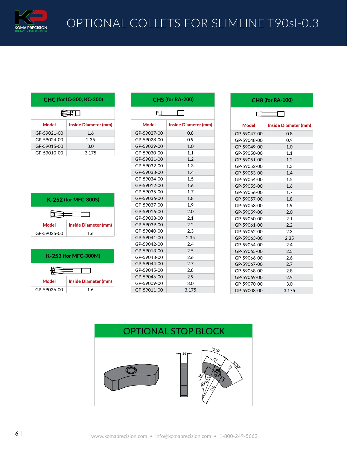

| <b>CHC (for IC-300, KC-300)</b> |                             |  |  |  |
|---------------------------------|-----------------------------|--|--|--|
| ≢口                              |                             |  |  |  |
| Model                           | <b>Inside Diameter (mm)</b> |  |  |  |
| GP-59021-00                     | 16                          |  |  |  |
| GP-59024-00                     | 2.35                        |  |  |  |
| GP-59015-00                     | 3.0                         |  |  |  |
| GP-59010-00                     | 3.175                       |  |  |  |

| K-252 (for MFC-300S) |                             |  |
|----------------------|-----------------------------|--|
|                      |                             |  |
| Model                | <b>Inside Diameter (mm)</b> |  |
| GP-59025-00          | 1 6                         |  |

| K-253 (for MFC-300M) |                             |  |
|----------------------|-----------------------------|--|
|                      |                             |  |
| Model                | <b>Inside Diameter (mm)</b> |  |
| GP-59026-00          | 16                          |  |

| CHS (for RA-200) |                             |  |  |  |
|------------------|-----------------------------|--|--|--|
|                  |                             |  |  |  |
| Model            | <b>Inside Diameter (mm)</b> |  |  |  |
| GP-59027-00      | 0.8                         |  |  |  |
| GP-59028-00      | 0.9                         |  |  |  |
| GP-59029-00      | 1.0                         |  |  |  |
| GP-59030-00      | 1.1                         |  |  |  |
| GP-59031-00      | 1.2                         |  |  |  |
| GP-59032-00      | 1.3                         |  |  |  |
| GP-59033-00      | 1.4                         |  |  |  |
| GP-59034-00      | 1.5                         |  |  |  |
| GP-59012-00      | 1.6                         |  |  |  |
| GP-59035-00      | 1.7                         |  |  |  |
| GP-59036-00      | 1.8                         |  |  |  |
| GP-59037-00      | 1.9                         |  |  |  |
| GP-59016-00      | 2.0                         |  |  |  |
| GP-59038-00      | 2.1                         |  |  |  |
| GP-59039-00      | 2.2                         |  |  |  |
| GP-59040-00      | 2.3                         |  |  |  |
| GP-59041-00      | 2.35                        |  |  |  |
| GP-59042-00      | 2.4                         |  |  |  |
| GP-59013-00      | 2.5                         |  |  |  |
| GP-59043-00      | 2.6                         |  |  |  |
| GP-59044-00      | 2.7                         |  |  |  |
| GP-59045-00      | 2.8                         |  |  |  |
| GP-59046-00      | 2.9                         |  |  |  |
| GP-59009-00      | 3.0                         |  |  |  |
| GP-59011-00      | 3.175                       |  |  |  |

| <b>CH8 (for RA-100)</b> |                             |  |  |  |
|-------------------------|-----------------------------|--|--|--|
| $\equiv$                |                             |  |  |  |
| Model                   | <b>Inside Diameter (mm)</b> |  |  |  |
| GP-59047-00             | 0.8                         |  |  |  |
| GP-59048-00             | 0.9                         |  |  |  |
| GP-59049-00             | 1.0                         |  |  |  |
| GP-59050-00             | 1.1                         |  |  |  |
| GP-59051-00             | 1.2                         |  |  |  |
| GP-59052-00             | 1.3                         |  |  |  |
| GP-59053-00             | 1.4                         |  |  |  |
| GP-59054-00             | 1.5                         |  |  |  |
| GP-59055-00             | 1.6                         |  |  |  |
| GP-59056-00             | 1.7                         |  |  |  |
| GP-59057-00             | 1.8                         |  |  |  |
| GP-59058-00             | 1.9                         |  |  |  |
| GP-59059-00             | 2.0                         |  |  |  |
| GP-59060-00             | 2.1                         |  |  |  |
| GP-59061-00             | 2.2                         |  |  |  |
| GP-59062-00             | 2.3                         |  |  |  |
| GP-59063-00             | 2.35                        |  |  |  |
| GP-59064-00             | 2.4                         |  |  |  |
| GP-59065-00             | 2.5                         |  |  |  |
| GP-59066-00             | 2.6                         |  |  |  |
| GP-59067-00             | 2.7                         |  |  |  |
| GP-59068-00             | 2.8                         |  |  |  |
| GP-59069-00             | 2.9                         |  |  |  |
| GP-59070-00             | 3.0                         |  |  |  |
| GP-59008-00             | 3.175                       |  |  |  |